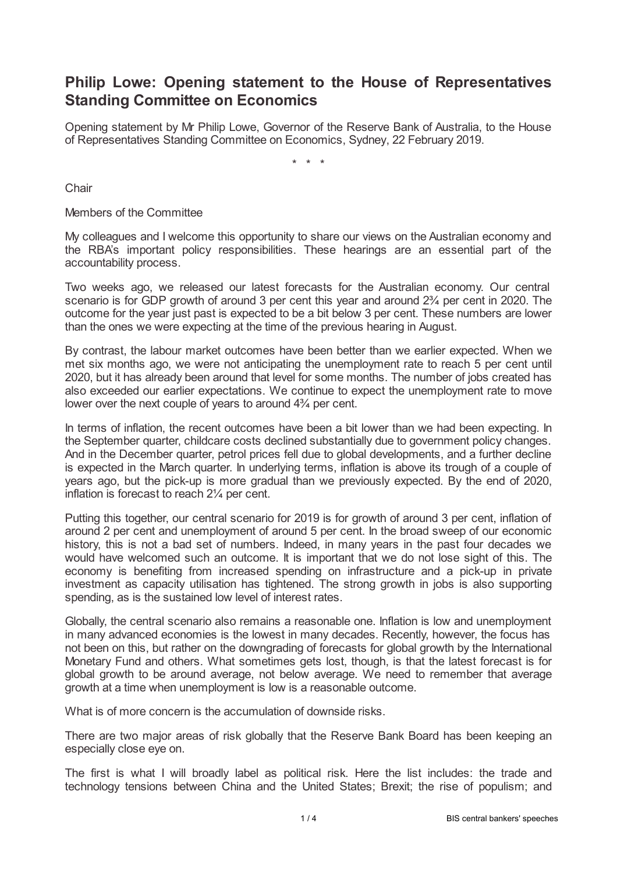## **Philip Lowe: Opening statement to the House of Representatives Standing Committee on Economics**

Opening statement by Mr Philip Lowe, Governor of the Reserve Bank of Australia, to the House of Representatives Standing Committee on Economics, Sydney, 22 February 2019.

\* \* \*

**Chair** 

Members of the Committee

My colleagues and I welcome this opportunity to share our views on the Australian economy and the RBA's important policy responsibilities. These hearings are an essential part of the accountability process.

Two weeks ago, we released our latest forecasts for the Australian economy. Our central scenario is for GDP growth of around 3 per cent this year and around  $2\frac{3}{4}$  per cent in 2020. The outcome for the year just past is expected to be a bit below 3 per cent. These numbers are lower than the ones we were expecting at the time of the previous hearing in August.

By contrast, the labour market outcomes have been better than we earlier expected. When we met six months ago, we were not anticipating the unemployment rate to reach 5 per cent until 2020, but it has already been around that level for some months. The number of jobs created has also exceeded our earlier expectations. We continue to expect the unemployment rate to move lower over the next couple of years to around 4¾ per cent.

In terms of inflation, the recent outcomes have been a bit lower than we had been expecting. In the September quarter, childcare costs declined substantially due to government policy changes. And in the December quarter, petrol prices fell due to global developments, and a further decline is expected in the March quarter. In underlying terms, inflation is above its trough of a couple of years ago, but the pick-up is more gradual than we previously expected. By the end of 2020, inflation is forecast to reach 2¼ per cent.

Putting this together, our central scenario for 2019 is for growth of around 3 per cent, inflation of around 2 per cent and unemployment of around 5 per cent. In the broad sweep of our economic history, this is not a bad set of numbers. Indeed, in many years in the past four decades we would have welcomed such an outcome. It is important that we do not lose sight of this. The economy is benefiting from increased spending on infrastructure and a pick-up in private investment as capacity utilisation has tightened. The strong growth in jobs is also supporting spending, as is the sustained low level of interest rates.

Globally, the central scenario also remains a reasonable one. Inflation is low and unemployment in many advanced economies is the lowest in many decades. Recently, however, the focus has not been on this, but rather on the downgrading of forecasts for global growth by the International Monetary Fund and others. What sometimes gets lost, though, is that the latest forecast is for global growth to be around average, not below average. We need to remember that average growth at a time when unemployment is low is a reasonable outcome.

What is of more concern is the accumulation of downside risks.

There are two major areas of risk globally that the Reserve Bank Board has been keeping an especially close eye on.

The first is what I will broadly label as political risk. Here the list includes: the trade and technology tensions between China and the United States; Brexit; the rise of populism; and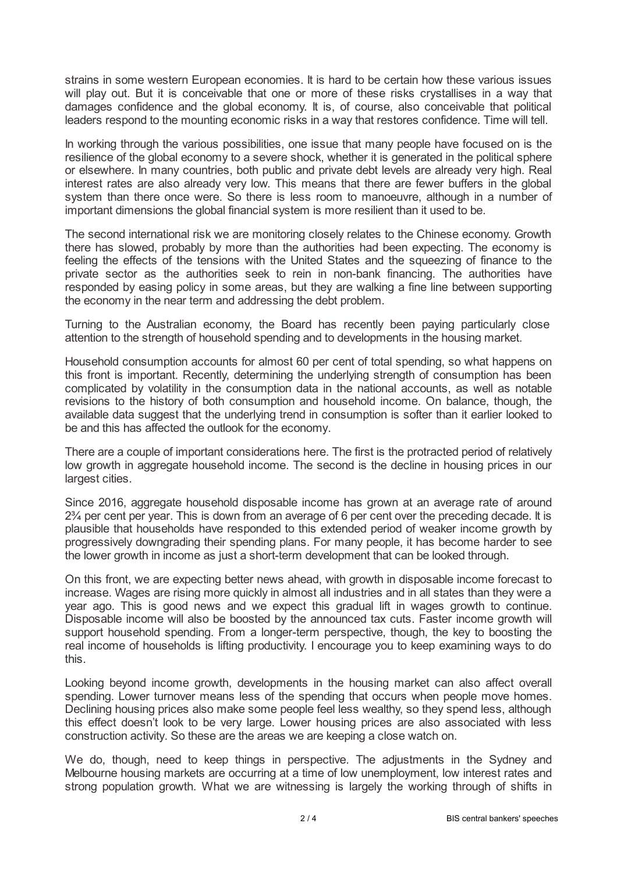strains in some western European economies. It is hard to be certain how these various issues will play out. But it is conceivable that one or more of these risks crystallises in a way that damages confidence and the global economy. It is, of course, also conceivable that political leaders respond to the mounting economic risks in a way that restores confidence. Time will tell.

In working through the various possibilities, one issue that many people have focused on is the resilience of the global economy to a severe shock, whether it is generated in the political sphere or elsewhere. In many countries, both public and private debt levels are already very high. Real interest rates are also already very low. This means that there are fewer buffers in the global system than there once were. So there is less room to manoeuvre, although in a number of important dimensions the global financial system is more resilient than it used to be.

The second international risk we are monitoring closely relates to the Chinese economy. Growth there has slowed, probably by more than the authorities had been expecting. The economy is feeling the effects of the tensions with the United States and the squeezing of finance to the private sector as the authorities seek to rein in non-bank financing. The authorities have responded by easing policy in some areas, but they are walking a fine line between supporting the economy in the near term and addressing the debt problem.

Turning to the Australian economy, the Board has recently been paying particularly close attention to the strength of household spending and to developments in the housing market.

Household consumption accounts for almost 60 per cent of total spending, so what happens on this front is important. Recently, determining the underlying strength of consumption has been complicated by volatility in the consumption data in the national accounts, as well as notable revisions to the history of both consumption and household income. On balance, though, the available data suggest that the underlying trend in consumption is softer than it earlier looked to be and this has affected the outlook for the economy.

There are a couple of important considerations here. The first is the protracted period of relatively low growth in aggregate household income. The second is the decline in housing prices in our largest cities.

Since 2016, aggregate household disposable income has grown at an average rate of around 2¾ per cent per year. This is down from an average of 6 per cent over the preceding decade. It is plausible that households have responded to this extended period of weaker income growth by progressively downgrading their spending plans. For many people, it has become harder to see the lower growth in income as just a short-term development that can be looked through.

On this front, we are expecting better news ahead, with growth in disposable income forecast to increase. Wages are rising more quickly in almost all industries and in all states than they were a year ago. This is good news and we expect this gradual lift in wages growth to continue. Disposable income will also be boosted by the announced tax cuts. Faster income growth will support household spending. From a longer-term perspective, though, the key to boosting the real income of households is lifting productivity. I encourage you to keep examining ways to do this.

Looking beyond income growth, developments in the housing market can also affect overall spending. Lower turnover means less of the spending that occurs when people move homes. Declining housing prices also make some people feel less wealthy, so they spend less, although this effect doesn't look to be very large. Lower housing prices are also associated with less construction activity. So these are the areas we are keeping a close watch on.

We do, though, need to keep things in perspective. The adjustments in the Sydney and Melbourne housing markets are occurring at a time of low unemployment, low interest rates and strong population growth. What we are witnessing is largely the working through of shifts in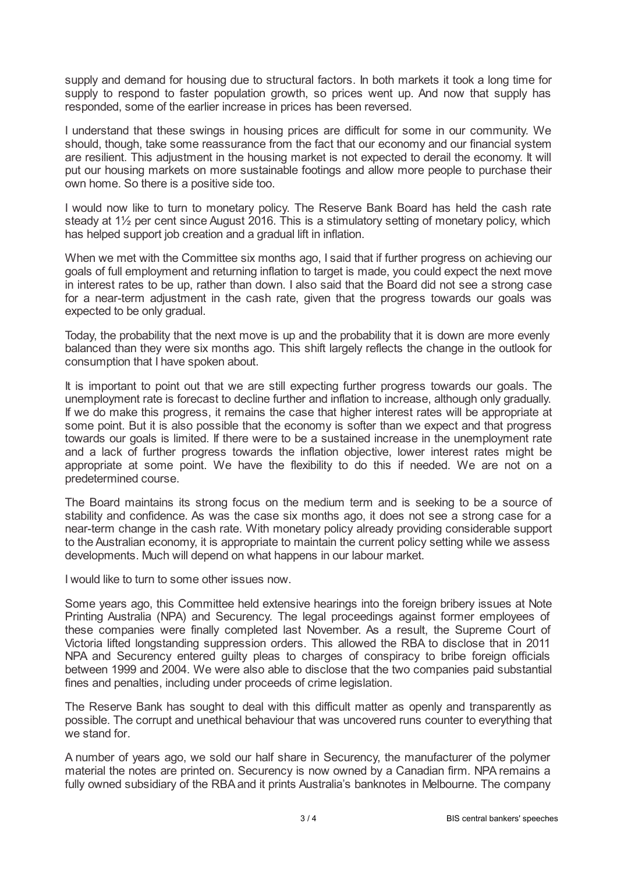supply and demand for housing due to structural factors. In both markets it took a long time for supply to respond to faster population growth, so prices went up. And now that supply has responded, some of the earlier increase in prices has been reversed.

I understand that these swings in housing prices are difficult for some in our community. We should, though, take some reassurance from the fact that our economy and our financial system are resilient. This adjustment in the housing market is not expected to derail the economy. It will put our housing markets on more sustainable footings and allow more people to purchase their own home. So there is a positive side too.

I would now like to turn to monetary policy. The Reserve Bank Board has held the cash rate steady at 1½ per cent since August 2016. This is a stimulatory setting of monetary policy, which has helped support job creation and a gradual lift in inflation.

When we met with the Committee six months ago, I said that if further progress on achieving our goals of full employment and returning inflation to target is made, you could expect the next move in interest rates to be up, rather than down. I also said that the Board did not see a strong case for a near-term adjustment in the cash rate, given that the progress towards our goals was expected to be only gradual.

Today, the probability that the next move is up and the probability that it is down are more evenly balanced than they were six months ago. This shift largely reflects the change in the outlook for consumption that I have spoken about.

It is important to point out that we are still expecting further progress towards our goals. The unemployment rate is forecast to decline further and inflation to increase, although only gradually. If we do make this progress, it remains the case that higher interest rates will be appropriate at some point. But it is also possible that the economy is softer than we expect and that progress towards our goals is limited. If there were to be a sustained increase in the unemployment rate and a lack of further progress towards the inflation objective, lower interest rates might be appropriate at some point. We have the flexibility to do this if needed. We are not on a predetermined course.

The Board maintains its strong focus on the medium term and is seeking to be a source of stability and confidence. As was the case six months ago, it does not see a strong case for a near-term change in the cash rate. With monetary policy already providing considerable support to the Australian economy, it is appropriate to maintain the current policy setting while we assess developments. Much will depend on what happens in our labour market.

I would like to turn to some other issues now.

Some years ago, this Committee held extensive hearings into the foreign bribery issues at Note Printing Australia (NPA) and Securency. The legal proceedings against former employees of these companies were finally completed last November. As a result, the Supreme Court of Victoria lifted longstanding suppression orders. This allowed the RBA to disclose that in 2011 NPA and Securency entered guilty pleas to charges of conspiracy to bribe foreign officials between 1999 and 2004. We were also able to disclose that the two companies paid substantial fines and penalties, including under proceeds of crime legislation.

The Reserve Bank has sought to deal with this difficult matter as openly and transparently as possible. The corrupt and unethical behaviour that was uncovered runs counter to everything that we stand for.

A number of years ago, we sold our half share in Securency, the manufacturer of the polymer material the notes are printed on. Securency is now owned by a Canadian firm. NPA remains a fully owned subsidiary of the RBA and it prints Australia's banknotes in Melbourne. The company